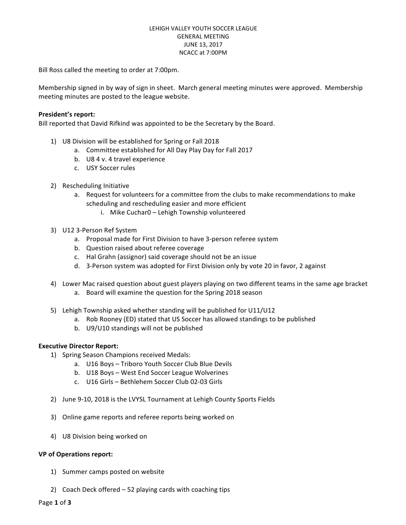### LEHIGH VALLEY YOUTH SOCCER LEAGUE GENERAL MEETING JUNE 13, 2017 NCACC at 7:00PM

Bill Ross called the meeting to order at 7:00pm.

Membership signed in by way of sign in sheet. March general meeting minutes were approved. Membership meeting minutes are posted to the league website.

## **President's report:**

Bill reported that David Rifkind was appointed to be the Secretary by the Board.

- 1) U8 Division will be established for Spring or Fall 2018
	- a. Committee established for All Day Play Day for Fall 2017
	- b. U8 4 v. 4 travel experience
	- c. USY Soccer rules
- 2) Rescheduling Initiative
	- a. Request for volunteers for a committee from the clubs to make recommendations to make scheduling and rescheduling easier and more efficient
		- i. Mike Cuchar0 Lehigh Township volunteered
- 3) U12 3-Person Ref System
	- a. Proposal made for First Division to have 3-person referee system
	- b. Question raised about referee coverage
	- c. Hal Grahn (assignor) said coverage should not be an issue
	- d. 3-Person system was adopted for First Division only by vote 20 in favor, 2 against
- 4) Lower Mac raised question about guest players playing on two different teams in the same age bracket a. Board will examine the question for the Spring 2018 season
- 5) Lehigh Township asked whether standing will be published for U11/U12
	- a. Rob Rooney (ED) stated that US Soccer has allowed standings to be published
	- b. U9/U10 standings will not be published

### **Executive Director Report:**

- 1) Spring Season Champions received Medals:
	- a. U16 Boys Triboro Youth Soccer Club Blue Devils
	- b. U18 Boys West End Soccer League Wolverines
	- c. U16 Girls Bethlehem Soccer Club 02-03 Girls
- 2) June 9-10, 2018 is the LVYSL Tournament at Lehigh County Sports Fields
- 3) Online game reports and referee reports being worked on
- 4) U8 Division being worked on

### **VP of Operations report:**

- 1) Summer camps posted on website
- 2) Coach Deck offered  $-52$  playing cards with coaching tips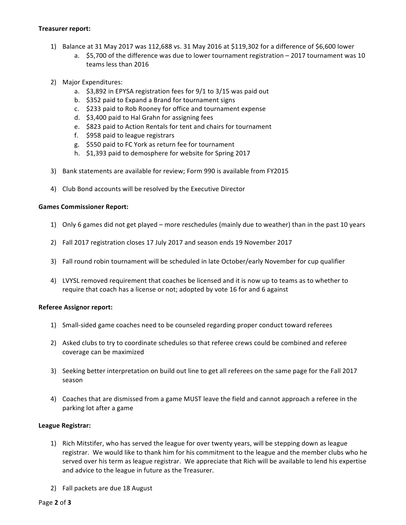## **Treasurer report:**

- 1) Balance at 31 May 2017 was 112,688 vs. 31 May 2016 at \$119,302 for a difference of \$6,600 lower
	- a.  $$5,700$  of the difference was due to lower tournament registration  $-$  2017 tournament was 10 teams less than 2016
- 2) Major Expenditures:
	- a.  $$3,892$  in EPYSA registration fees for  $9/1$  to  $3/15$  was paid out
	- b. \$352 paid to Expand a Brand for tournament signs
	- c. \$233 paid to Rob Rooney for office and tournament expense
	- d. \$3,400 paid to Hal Grahn for assigning fees
	- e. \$823 paid to Action Rentals for tent and chairs for tournament
	- f. \$958 paid to league registrars
	- g. \$550 paid to FC York as return fee for tournament
	- h. \$1,393 paid to demosphere for website for Spring 2017
- 3) Bank statements are available for review; Form 990 is available from FY2015
- 4) Club Bond accounts will be resolved by the Executive Director

# **Games Commissioner Report:**

- 1) Only 6 games did not get played more reschedules (mainly due to weather) than in the past 10 years
- 2) Fall 2017 registration closes 17 July 2017 and season ends 19 November 2017
- 3) Fall round robin tournament will be scheduled in late October/early November for cup qualifier
- 4) LVYSL removed requirement that coaches be licensed and it is now up to teams as to whether to require that coach has a license or not; adopted by vote 16 for and 6 against

# **Referee Assignor report:**

- 1) Small-sided game coaches need to be counseled regarding proper conduct toward referees
- 2) Asked clubs to try to coordinate schedules so that referee crews could be combined and referee coverage can be maximized
- 3) Seeking better interpretation on build out line to get all referees on the same page for the Fall 2017 season
- 4) Coaches that are dismissed from a game MUST leave the field and cannot approach a referee in the parking lot after a game

# **League Registrar:**

- 1) Rich Mitstifer, who has served the league for over twenty years, will be stepping down as league registrar. We would like to thank him for his commitment to the league and the member clubs who he served over his term as league registrar. We appreciate that Rich will be available to lend his expertise and advice to the league in future as the Treasurer.
- 2) Fall packets are due 18 August